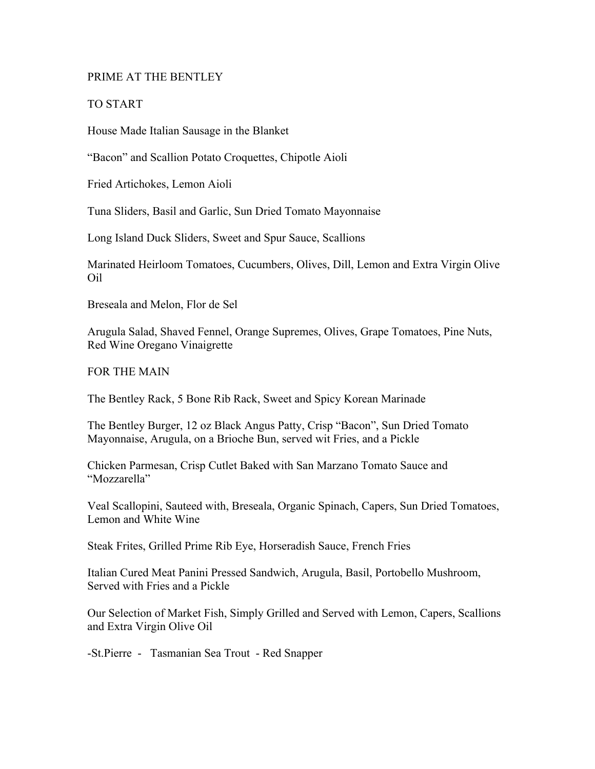#### PRIME AT THE BENTLEY

#### TO START

House Made Italian Sausage in the Blanket

"Bacon" and Scallion Potato Croquettes, Chipotle Aioli

Fried Artichokes, Lemon Aioli

Tuna Sliders, Basil and Garlic, Sun Dried Tomato Mayonnaise

Long Island Duck Sliders, Sweet and Spur Sauce, Scallions

Marinated Heirloom Tomatoes, Cucumbers, Olives, Dill, Lemon and Extra Virgin Olive Oil

Breseala and Melon, Flor de Sel

Arugula Salad, Shaved Fennel, Orange Supremes, Olives, Grape Tomatoes, Pine Nuts, Red Wine Oregano Vinaigrette

FOR THE MAIN

The Bentley Rack, 5 Bone Rib Rack, Sweet and Spicy Korean Marinade

The Bentley Burger, 12 oz Black Angus Patty, Crisp "Bacon", Sun Dried Tomato Mayonnaise, Arugula, on a Brioche Bun, served wit Fries, and a Pickle

Chicken Parmesan, Crisp Cutlet Baked with San Marzano Tomato Sauce and "Mozzarella"

Veal Scallopini, Sauteed with, Breseala, Organic Spinach, Capers, Sun Dried Tomatoes, Lemon and White Wine

Steak Frites, Grilled Prime Rib Eye, Horseradish Sauce, French Fries

Italian Cured Meat Panini Pressed Sandwich, Arugula, Basil, Portobello Mushroom, Served with Fries and a Pickle

Our Selection of Market Fish, Simply Grilled and Served with Lemon, Capers, Scallions and Extra Virgin Olive Oil

-St.Pierre - Tasmanian Sea Trout - Red Snapper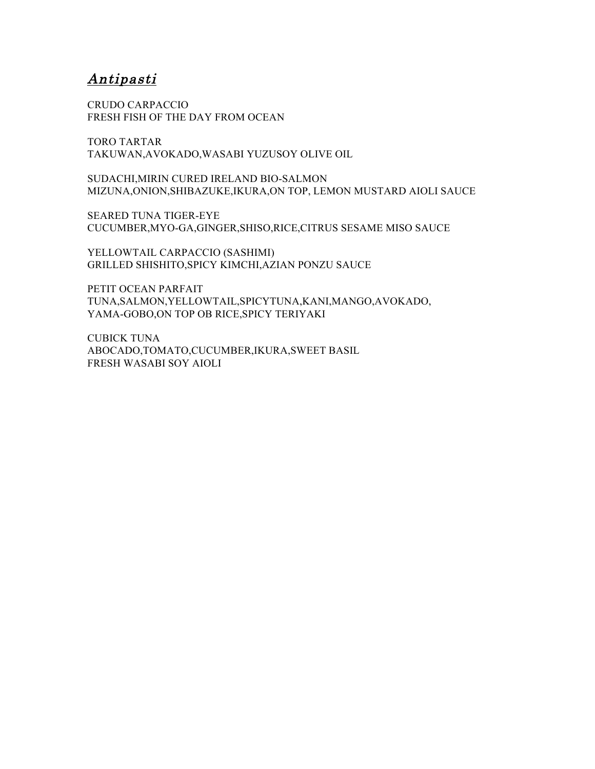## Antipasti

CRUDO CARPACCIO FRESH FISH OF THE DAY FROM OCEAN

TORO TARTAR TAKUWAN,AVOKADO,WASABI YUZUSOY OLIVE OIL

SUDACHI,MIRIN CURED IRELAND BIO-SALMON MIZUNA,ONION,SHIBAZUKE,IKURA,ON TOP, LEMON MUSTARD AIOLI SAUCE

SEARED TUNA TIGER-EYE CUCUMBER,MYO-GA,GINGER,SHISO,RICE,CITRUS SESAME MISO SAUCE

YELLOWTAIL CARPACCIO (SASHIMI) GRILLED SHISHITO,SPICY KIMCHI,AZIAN PONZU SAUCE

PETIT OCEAN PARFAIT TUNA,SALMON,YELLOWTAIL,SPICYTUNA,KANI,MANGO,AVOKADO, YAMA-GOBO,ON TOP OB RICE,SPICY TERIYAKI

CUBICK TUNA ABOCADO,TOMATO,CUCUMBER,IKURA,SWEET BASIL FRESH WASABI SOY AIOLI